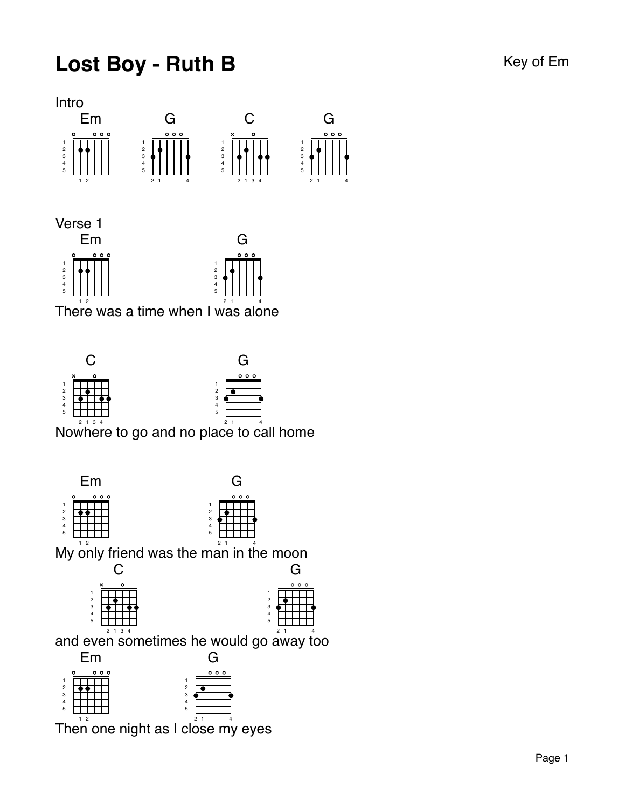## Lost Boy - Ruth B Key of Em



G

 $000c$ 

Verse 1



The $\stackrel{\circ}{\mathsf{r}}$ e was a time when I was alone



Nowhere to go and no p lace to call home



The $\mathring{\mathsf{n}}$  one night as I cl $\mathring{\mathsf{c}}$ se m $\mathring{\mathsf{y}}$  eyes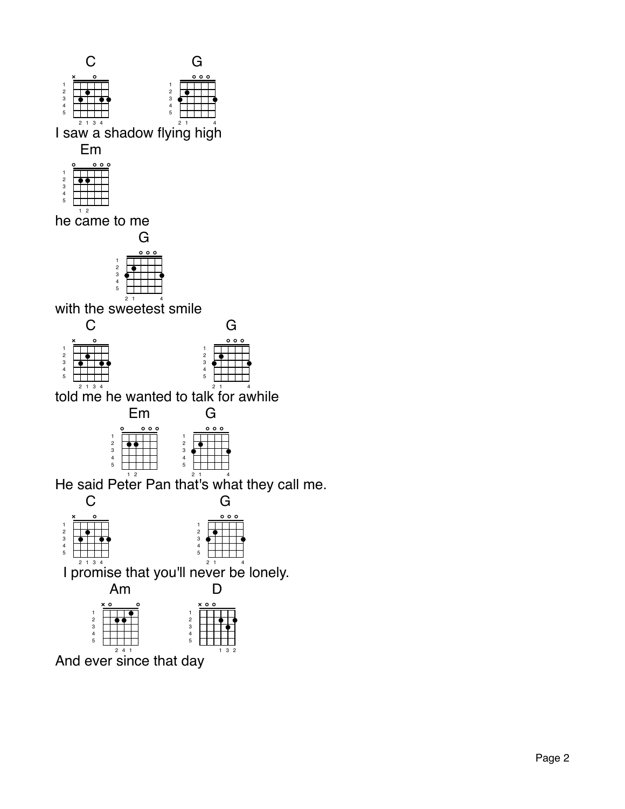

And ever since that day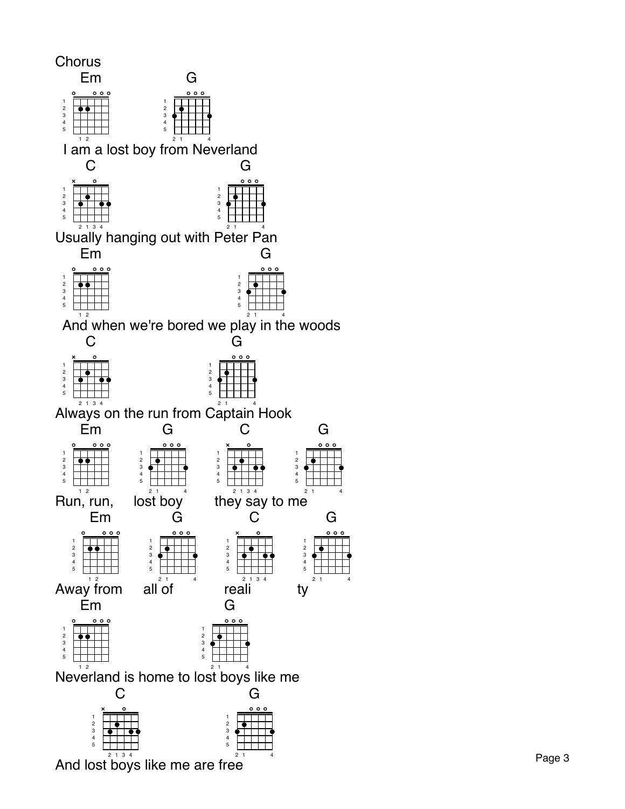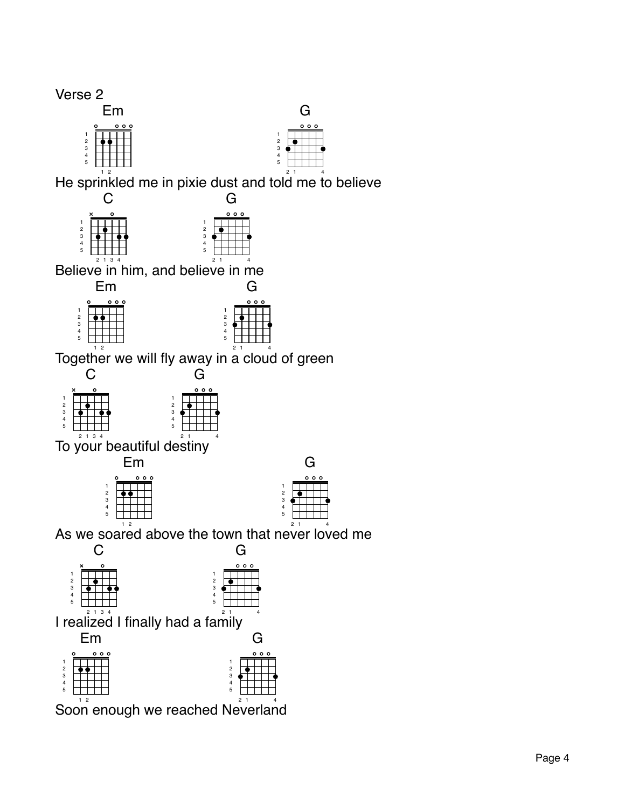## Verse 2

|       | ı |  |                    |   |
|-------|---|--|--------------------|---|
|       | o |  | $\circ$<br>$\circ$ | o |
|       |   |  |                    |   |
|       |   |  |                    |   |
|       |   |  |                    |   |
| 12345 |   |  |                    |   |
|       |   |  |                    |   |
|       |   |  |                    |   |

 

G

 $0.01$ 

He sprinkled me in pixie dust and told me to believe



Believe in him, and believe in me





Toget $\mathring{\mathsf{he}}$ r we will fly away in  $\mathring{\mathsf{a}}^\top$ cloud of green

|                |                             | ┓                          |
|----------------|-----------------------------|----------------------------|
|                | ×<br>ο                      | 000                        |
|                |                             |                            |
| $\overline{2}$ |                             | $\overline{2}$             |
| 3              |                             | 3                          |
| 4              |                             | 4                          |
| 5              |                             | 5                          |
|                | $\sim$ $\sim$ $\sim$ $\sim$ | $\sim$ $\sim$<br>$\lambda$ |

 $\,$  To your beautiful destiny  $\,$   $^{2}$ 

|                                                     | 7                 |  |  |  |
|-----------------------------------------------------|-------------------|--|--|--|
|                                                     | $\circ\circ\circ$ |  |  |  |
| 1                                                   |                   |  |  |  |
| $\begin{array}{c}\n 2 \\ 3 \\ 4 \\ 5\n \end{array}$ |                   |  |  |  |
|                                                     |                   |  |  |  |
|                                                     |                   |  |  |  |
|                                                     |                   |  |  |  |
|                                                     |                   |  |  |  |

As we soa $\stackrel{\scriptscriptstyle +}{\rm red}$  above the town that ne $\stackrel{\scriptscriptstyle +}{\rm ver}$  lo $\stackrel{\scriptscriptstyle +}{\rm ved}$  me



Soon enough we reached Neverland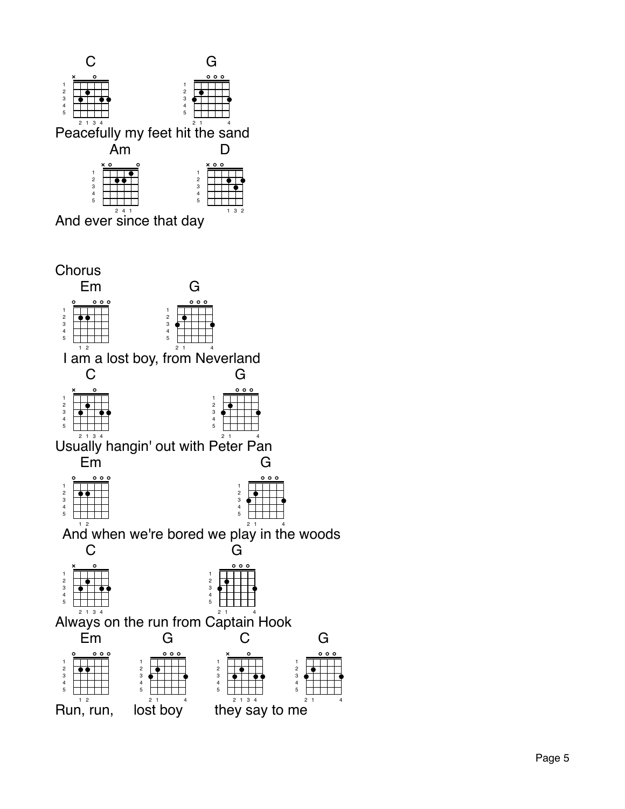



G

1 4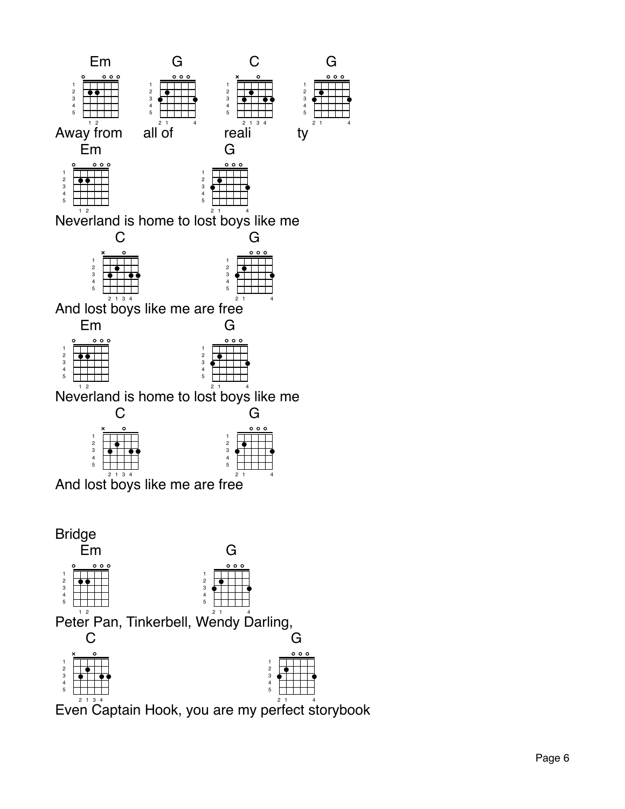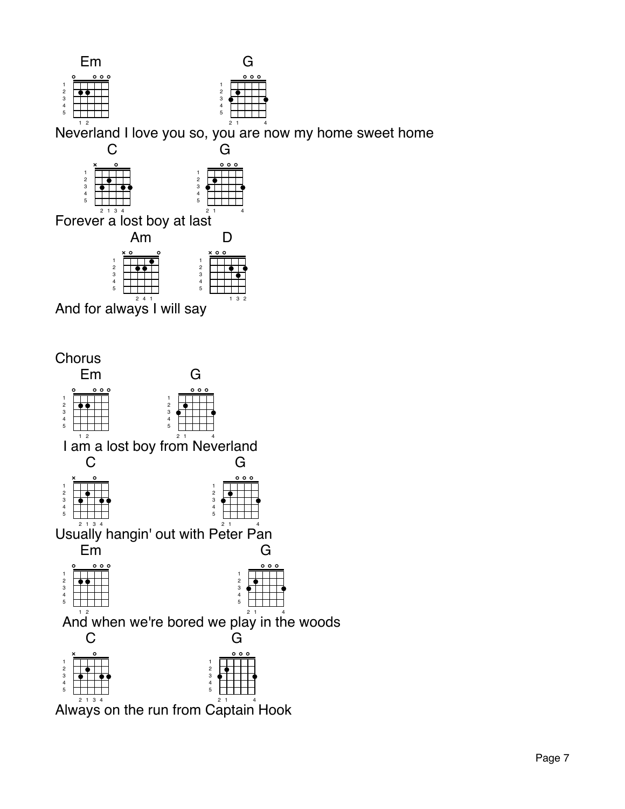

Neverland I love you so, you are now my home sweet home



 $\bar{F}$ orever a lost boy at last $\overline{\phantom{a}}^{1}$ 



And for always I will say



2 1 3 4 Always on the run from 2 1 4 Captain Hook